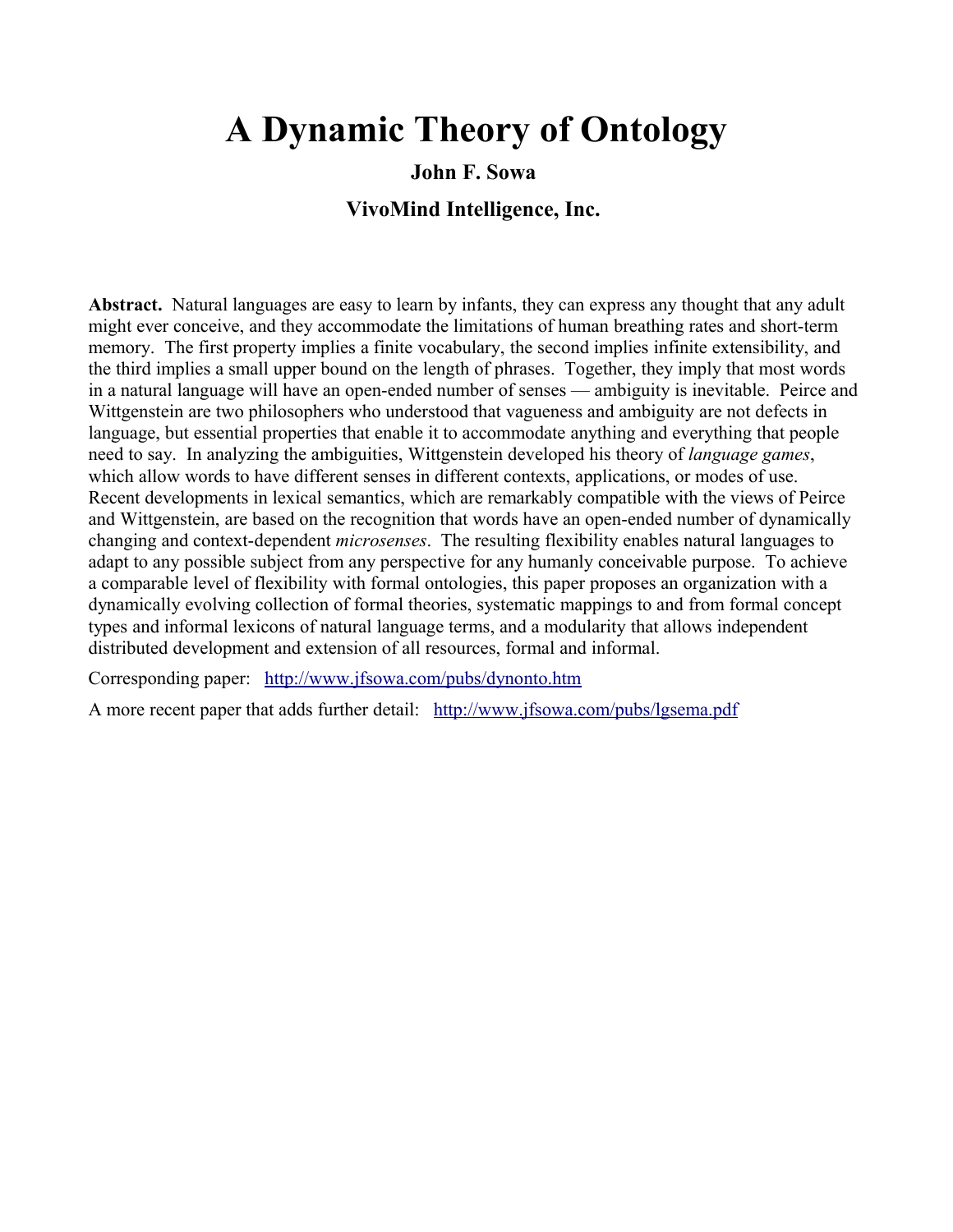#### **A Dynamic Theory of Ontology**

#### **John F. Sowa**

#### **VivoMind Intelligence, Inc.**

**Abstract.** Natural languages are easy to learn by infants, they can express any thought that any adult might ever conceive, and they accommodate the limitations of human breathing rates and short-term memory. The first property implies a finite vocabulary, the second implies infinite extensibility, and the third implies a small upper bound on the length of phrases. Together, they imply that most words in a natural language will have an open-ended number of senses — ambiguity is inevitable. Peirce and Wittgenstein are two philosophers who understood that vagueness and ambiguity are not defects in language, but essential properties that enable it to accommodate anything and everything that people need to say. In analyzing the ambiguities, Wittgenstein developed his theory of *language games*, which allow words to have different senses in different contexts, applications, or modes of use. Recent developments in lexical semantics, which are remarkably compatible with the views of Peirce and Wittgenstein, are based on the recognition that words have an open-ended number of dynamically changing and context-dependent *microsenses*. The resulting flexibility enables natural languages to adapt to any possible subject from any perspective for any humanly conceivable purpose. To achieve a comparable level of flexibility with formal ontologies, this paper proposes an organization with a dynamically evolving collection of formal theories, systematic mappings to and from formal concept types and informal lexicons of natural language terms, and a modularity that allows independent distributed development and extension of all resources, formal and informal.

Corresponding paper: <http://www.jfsowa.com/pubs/dynonto.htm>

A more recent paper that adds further detail: <http://www.jfsowa.com/pubs/lgsema.pdf>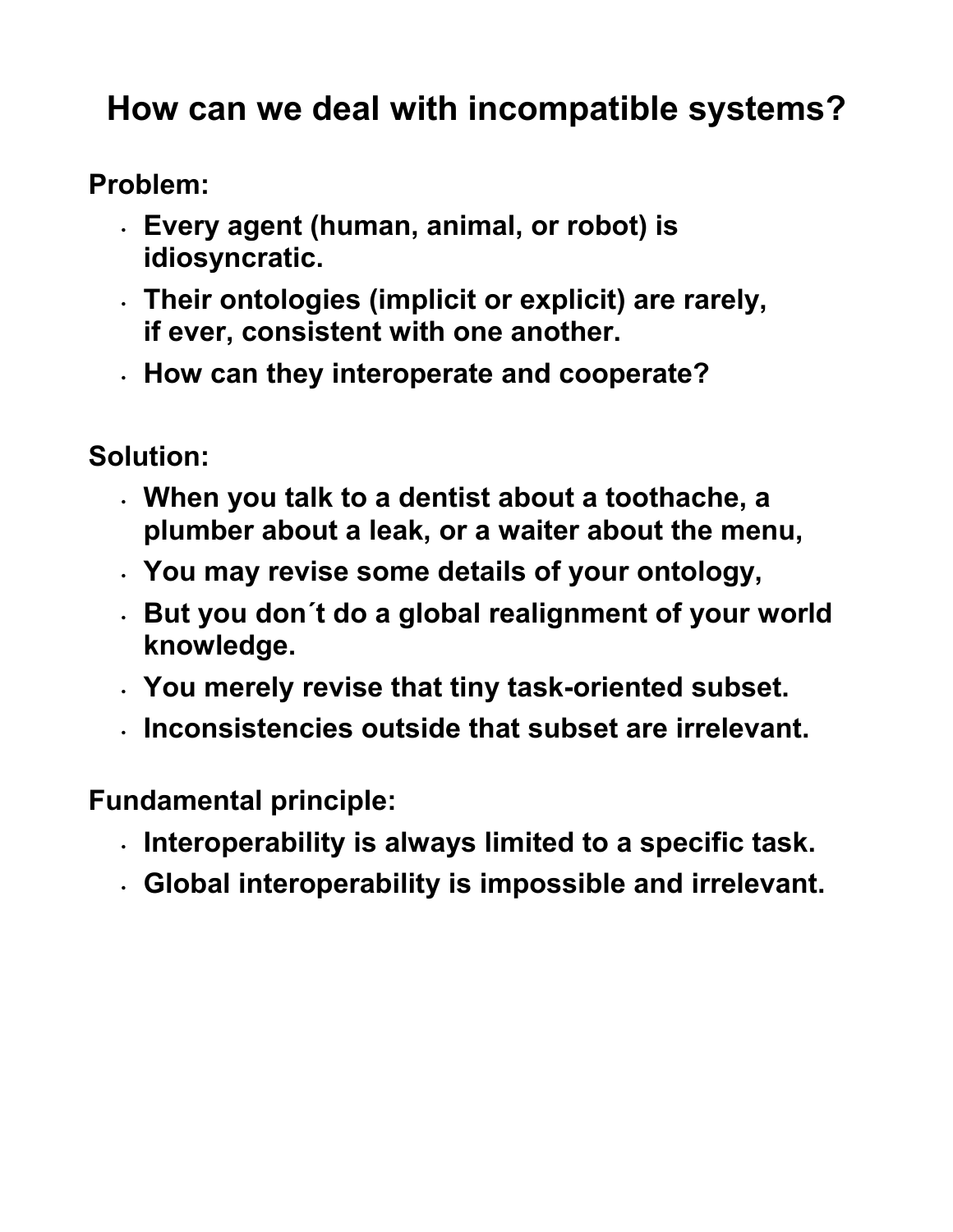#### **How can we deal with incompatible systems?**

**Problem:** 

- **Every agent (human, animal, or robot) is idiosyncratic.**
- **Their ontologies (implicit or explicit) are rarely, if ever, consistent with one another.**
- **How can they interoperate and cooperate?**

**Solution:** 

- **When you talk to a dentist about a toothache, a plumber about a leak, or a waiter about the menu,**
- **You may revise some details of your ontology,**
- **But you don´t do a global realignment of your world knowledge.**
- **You merely revise that tiny task-oriented subset.**
- **Inconsistencies outside that subset are irrelevant.**

**Fundamental principle:** 

- **Interoperability is always limited to a specific task.**
- **Global interoperability is impossible and irrelevant.**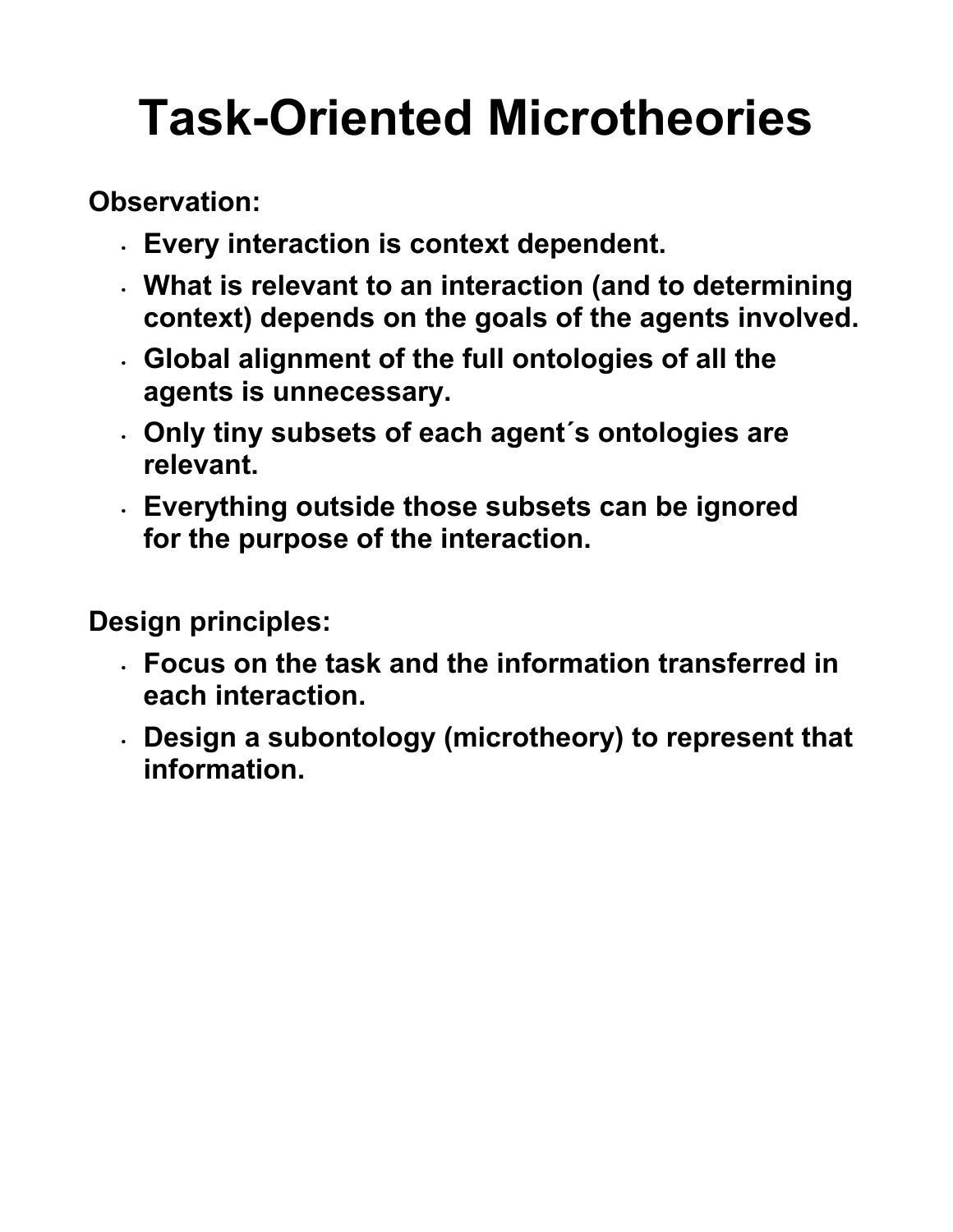# **Task-Oriented Microtheories**

**Observation:** 

- **Every interaction is context dependent.**
- **What is relevant to an interaction (and to determining context) depends on the goals of the agents involved.**
- **Global alignment of the full ontologies of all the agents is unnecessary.**
- **Only tiny subsets of each agent´s ontologies are relevant.**
- **Everything outside those subsets can be ignored for the purpose of the interaction.**

**Design principles:** 

- **Focus on the task and the information transferred in each interaction.**
- **Design a subontology (microtheory) to represent that information.**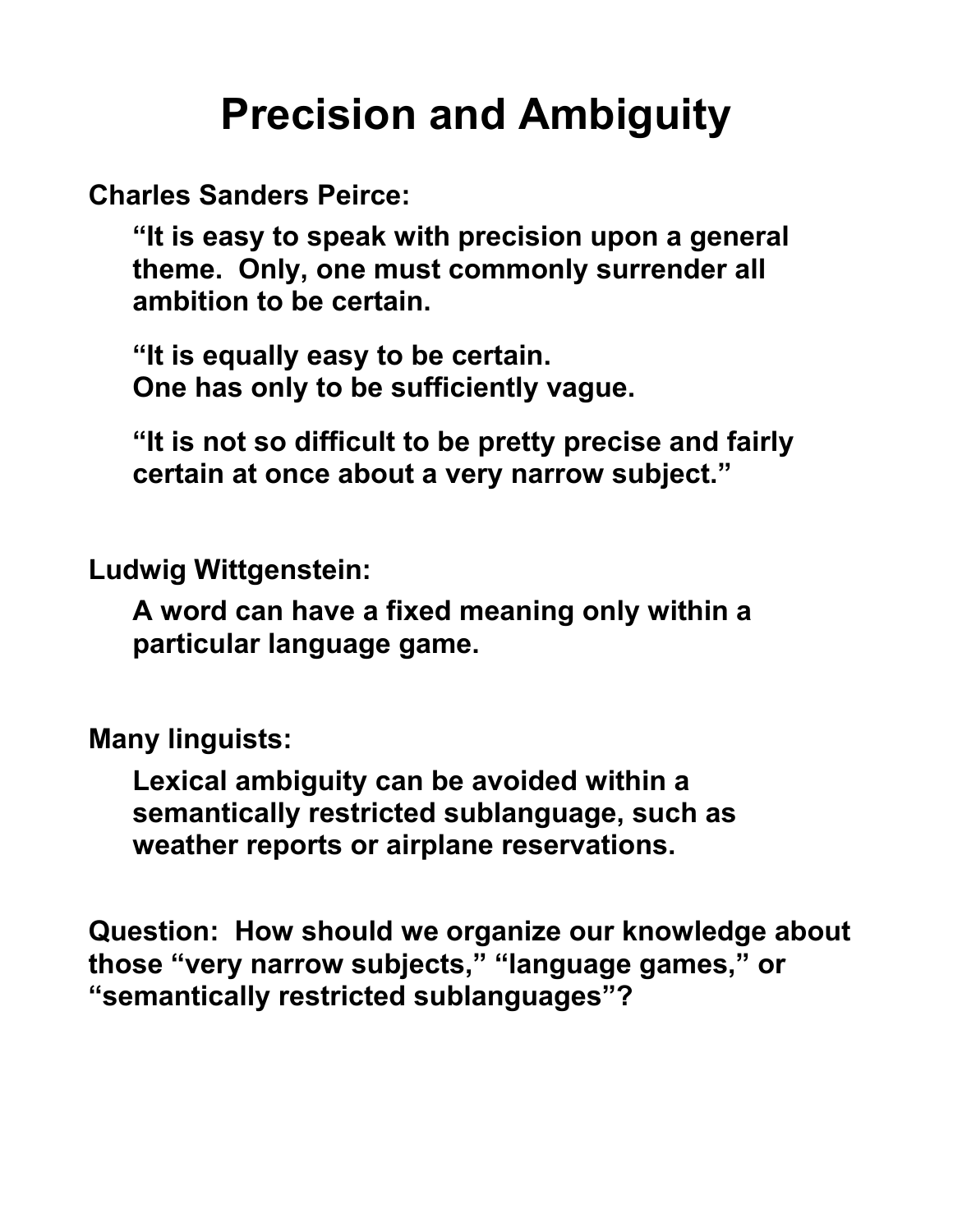### **Precision and Ambiguity**

**Charles Sanders Peirce:** 

**"It is easy to speak with precision upon a general theme. Only, one must commonly surrender all ambition to be certain.**

**"It is equally easy to be certain. One has only to be sufficiently vague.**

**"It is not so difficult to be pretty precise and fairly certain at once about a very narrow subject."** 

**Ludwig Wittgenstein:** 

**A word can have a fixed meaning only within a particular language game.** 

**Many linguists:** 

**Lexical ambiguity can be avoided within a semantically restricted sublanguage, such as weather reports or airplane reservations.** 

**Question: How should we organize our knowledge about those "very narrow subjects," "language games," or "semantically restricted sublanguages"?**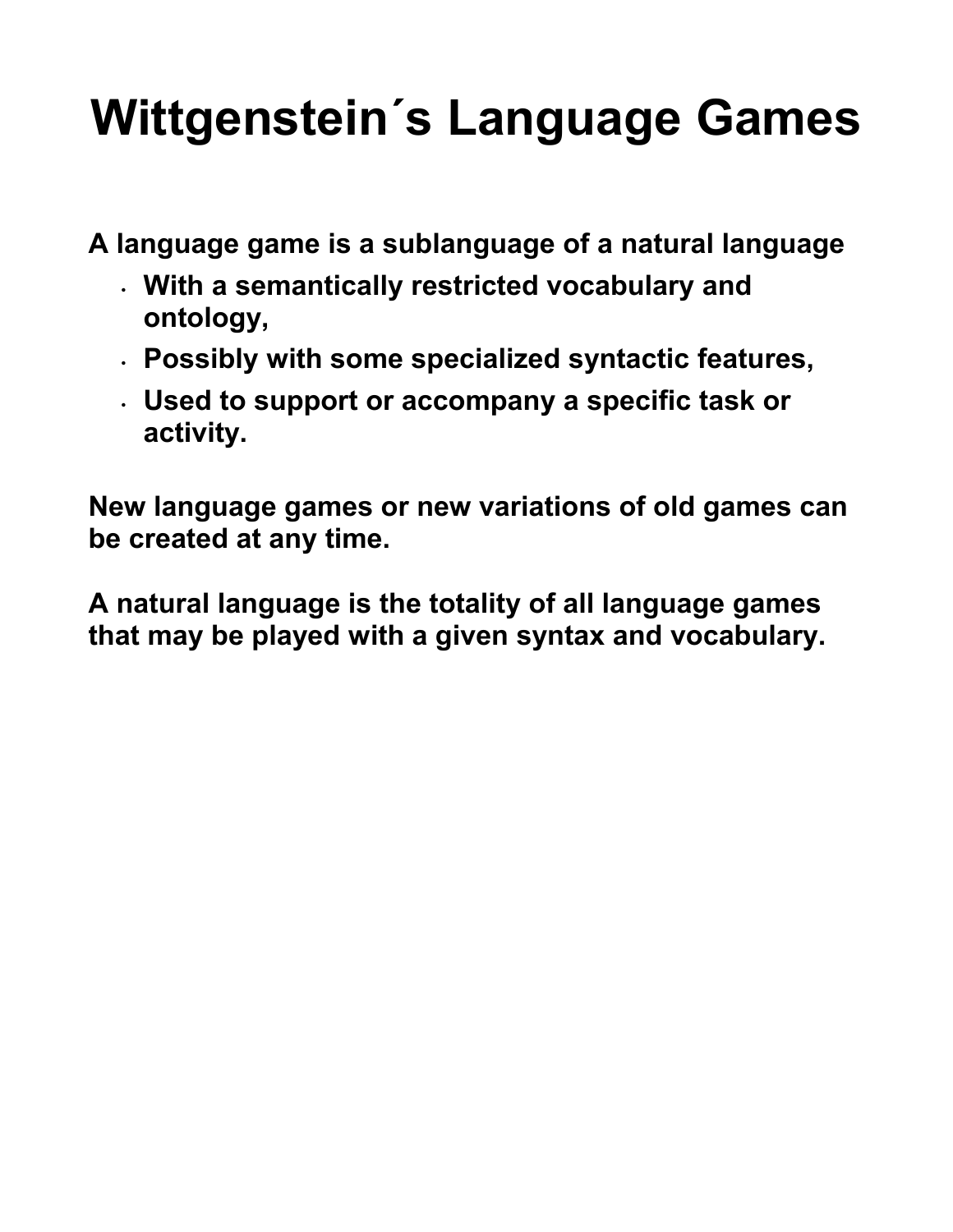## **Wittgenstein´s Language Games**

**A language game is a sublanguage of a natural language** 

- **With a semantically restricted vocabulary and ontology,**
- **Possibly with some specialized syntactic features,**
- **Used to support or accompany a specific task or activity.**

**New language games or new variations of old games can be created at any time.** 

**A natural language is the totality of all language games that may be played with a given syntax and vocabulary.**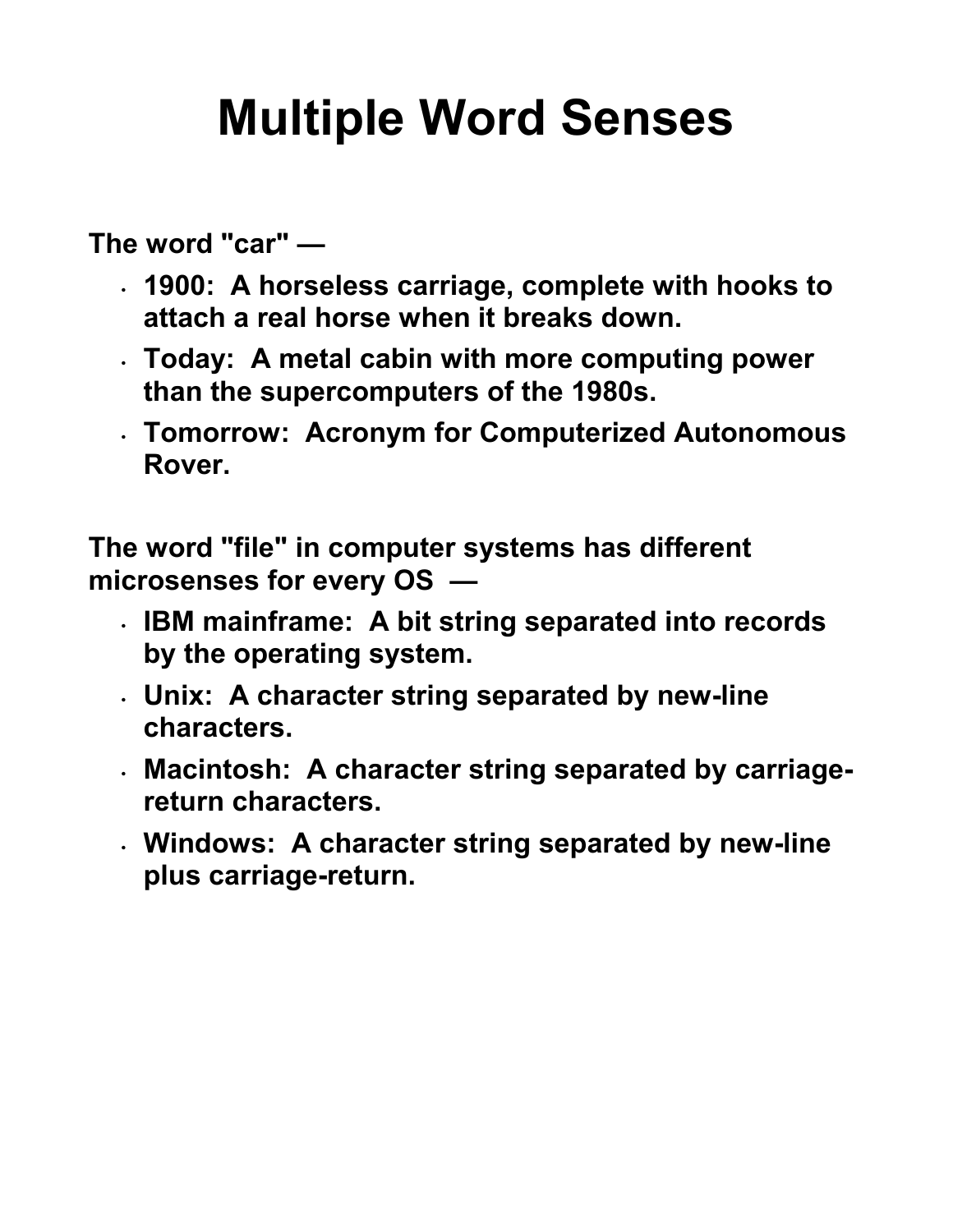## **Multiple Word Senses**

**The word "car" —** 

- **1900: A horseless carriage, complete with hooks to attach a real horse when it breaks down.**
- **Today: A metal cabin with more computing power than the supercomputers of the 1980s.**
- **Tomorrow: Acronym for Computerized Autonomous Rover.**

**The word "file" in computer systems has different microsenses for every OS —** 

- **IBM mainframe: A bit string separated into records by the operating system.**
- **Unix: A character string separated by new-line characters.**
- **Macintosh: A character string separated by carriagereturn characters.**
- **Windows: A character string separated by new-line plus carriage-return.**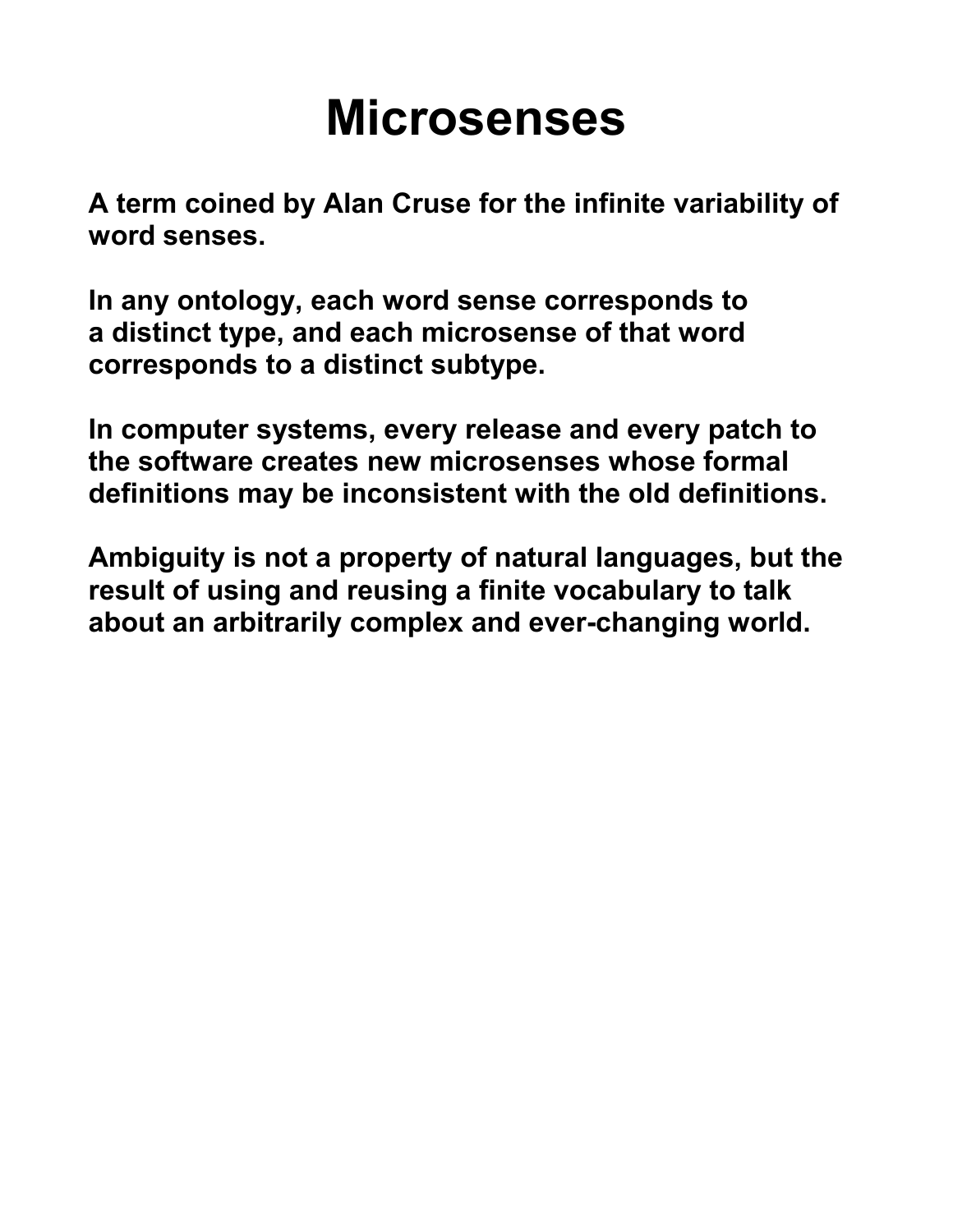## **Microsenses**

**A term coined by Alan Cruse for the infinite variability of word senses.** 

**In any ontology, each word sense corresponds to a distinct type, and each microsense of that word corresponds to a distinct subtype.**

**In computer systems, every release and every patch to the software creates new microsenses whose formal definitions may be inconsistent with the old definitions.**

**Ambiguity is not a property of natural languages, but the result of using and reusing a finite vocabulary to talk about an arbitrarily complex and ever-changing world.**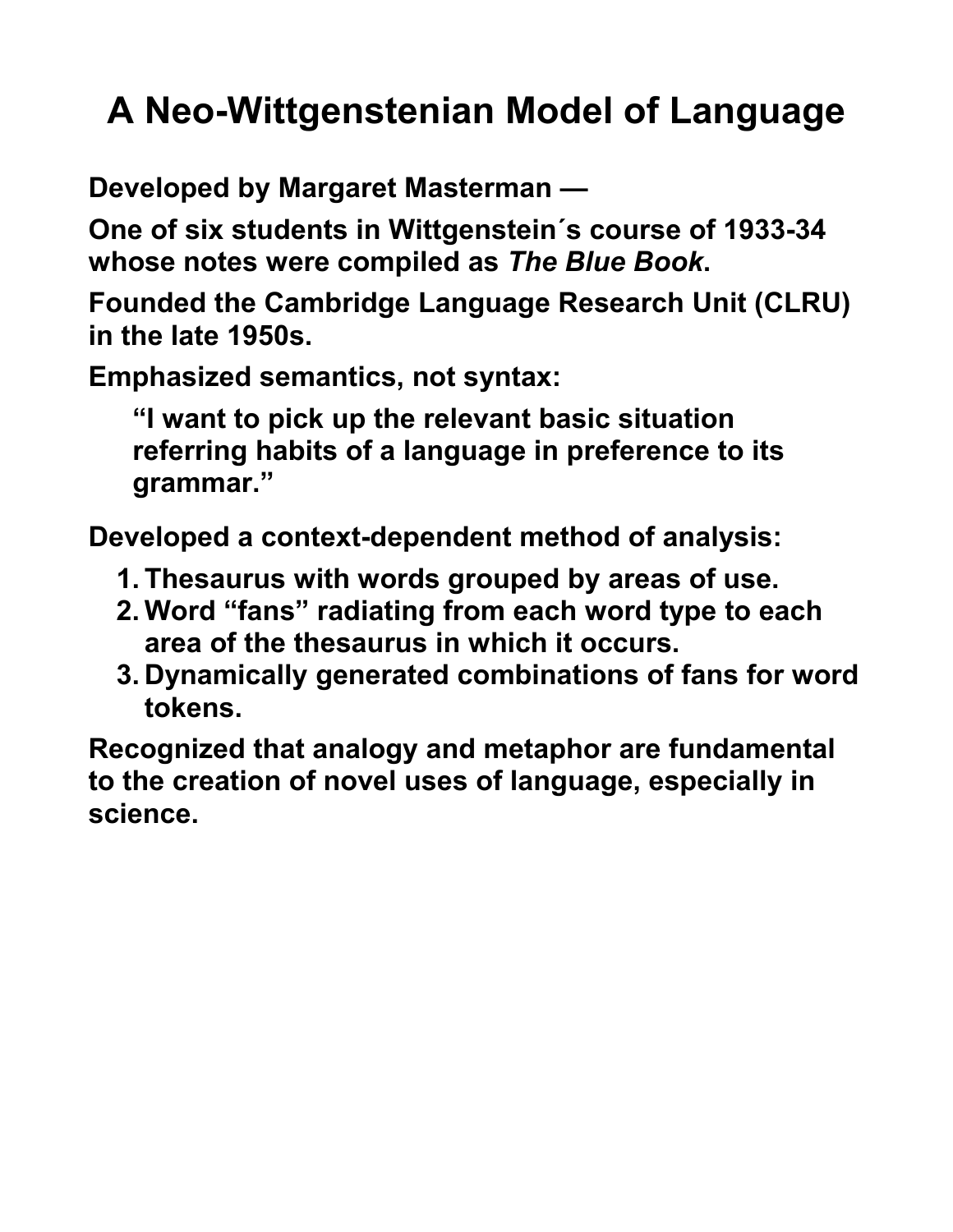### **A Neo-Wittgenstenian Model of Language**

**Developed by Margaret Masterman —** 

**One of six students in Wittgenstein´s course of 1933-34 whose notes were compiled as** *The Blue Book***.** 

**Founded the Cambridge Language Research Unit (CLRU) in the late 1950s.** 

**Emphasized semantics, not syntax:**

**"I want to pick up the relevant basic situation referring habits of a language in preference to its grammar."** 

**Developed a context-dependent method of analysis:** 

- **1. Thesaurus with words grouped by areas of use.**
- **2. Word "fans" radiating from each word type to each area of the thesaurus in which it occurs.**
- **3. Dynamically generated combinations of fans for word tokens.**

**Recognized that analogy and metaphor are fundamental to the creation of novel uses of language, especially in science.**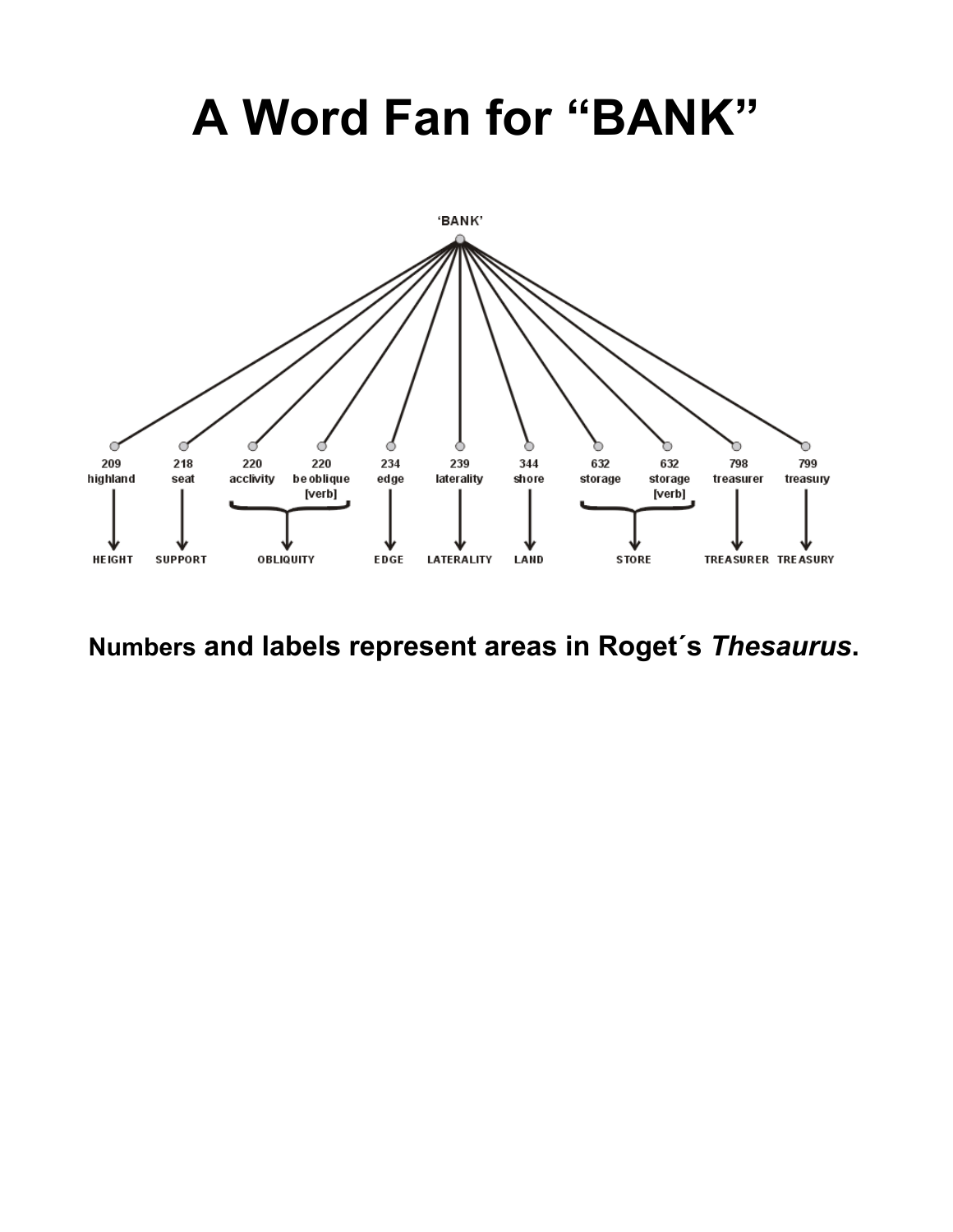## **A Word Fan for "BANK"**



**Numbers and labels represent areas in Roget´s** *Thesaurus***.**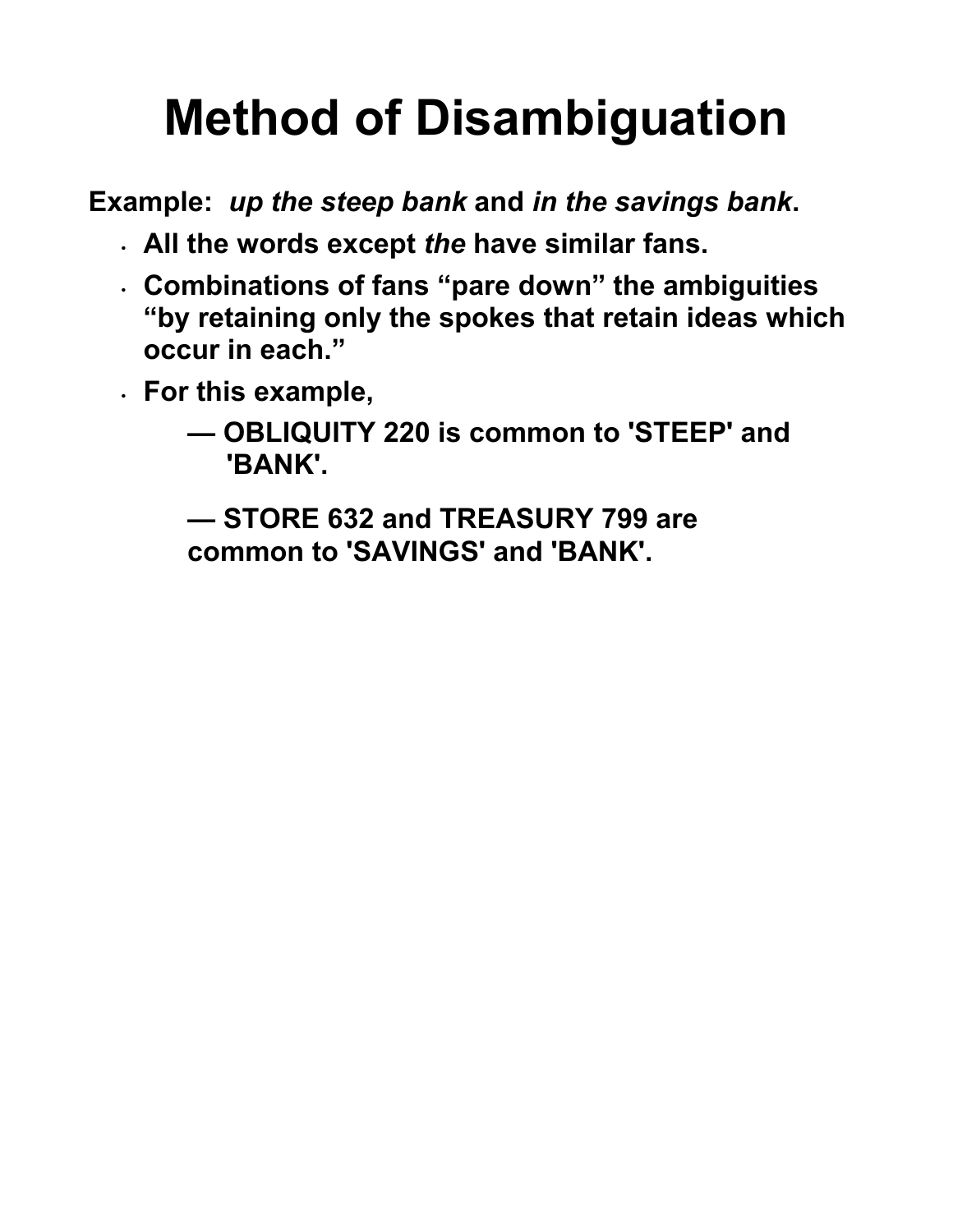# **Method of Disambiguation**

**Example:** *up the steep bank* **and** *in the savings bank***.** 

- **All the words except** *the* **have similar fans.**
- **Combinations of fans "pare down" the ambiguities "by retaining only the spokes that retain ideas which occur in each."**
- **For this example,** 
	- **OBLIQUITY 220 is common to 'STEEP' and 'BANK'.**

**— STORE 632 and TREASURY 799 are common to 'SAVINGS' and 'BANK'.**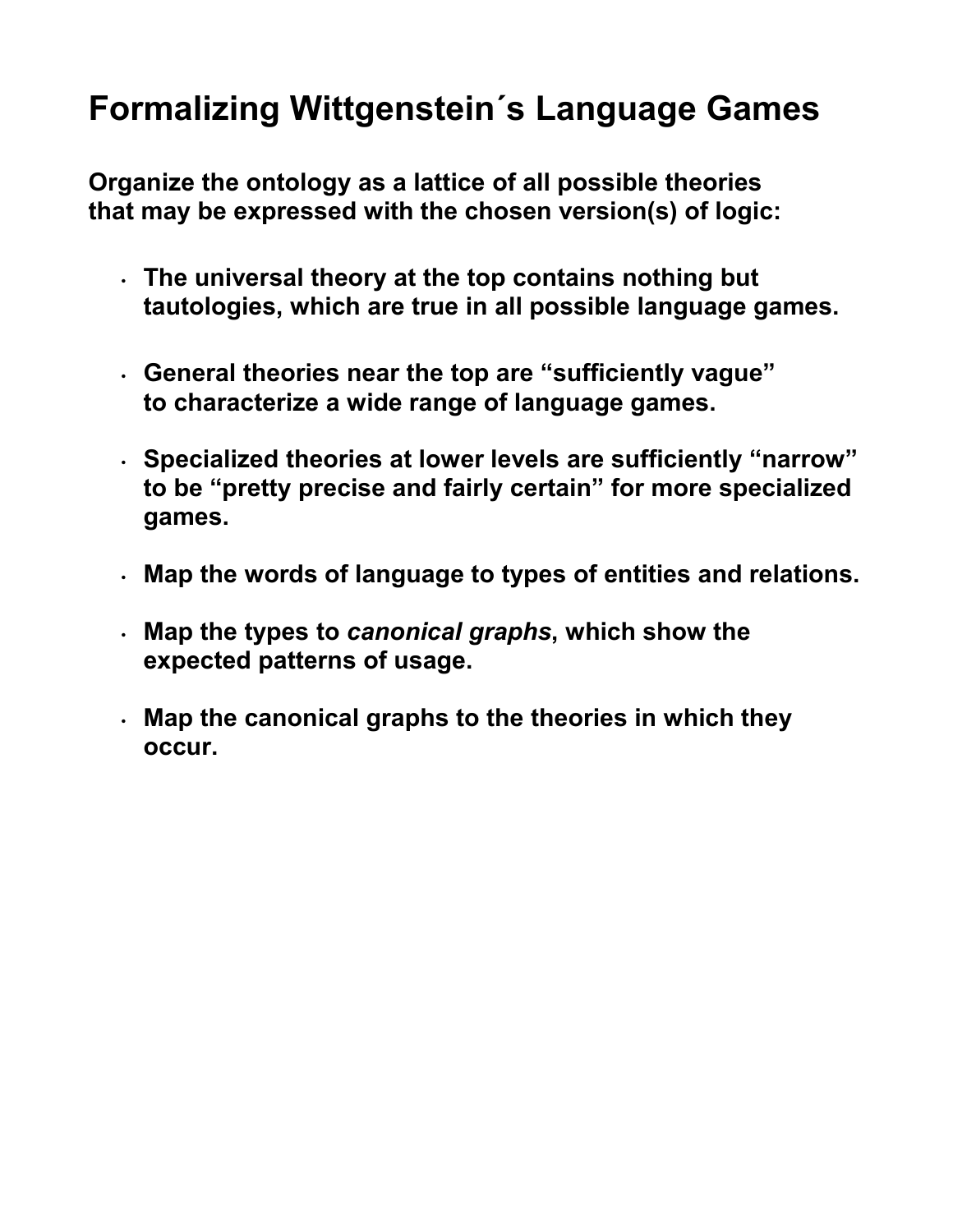#### **Formalizing Wittgenstein´s Language Games**

**Organize the ontology as a lattice of all possible theories that may be expressed with the chosen version(s) of logic:**

- **The universal theory at the top contains nothing but tautologies, which are true in all possible language games.**
- **General theories near the top are "sufficiently vague" to characterize a wide range of language games.**
- **Specialized theories at lower levels are sufficiently "narrow" to be "pretty precise and fairly certain" for more specialized games.**
- **Map the words of language to types of entities and relations.**
- **Map the types to** *canonical graphs***, which show the expected patterns of usage.**
- **Map the canonical graphs to the theories in which they occur.**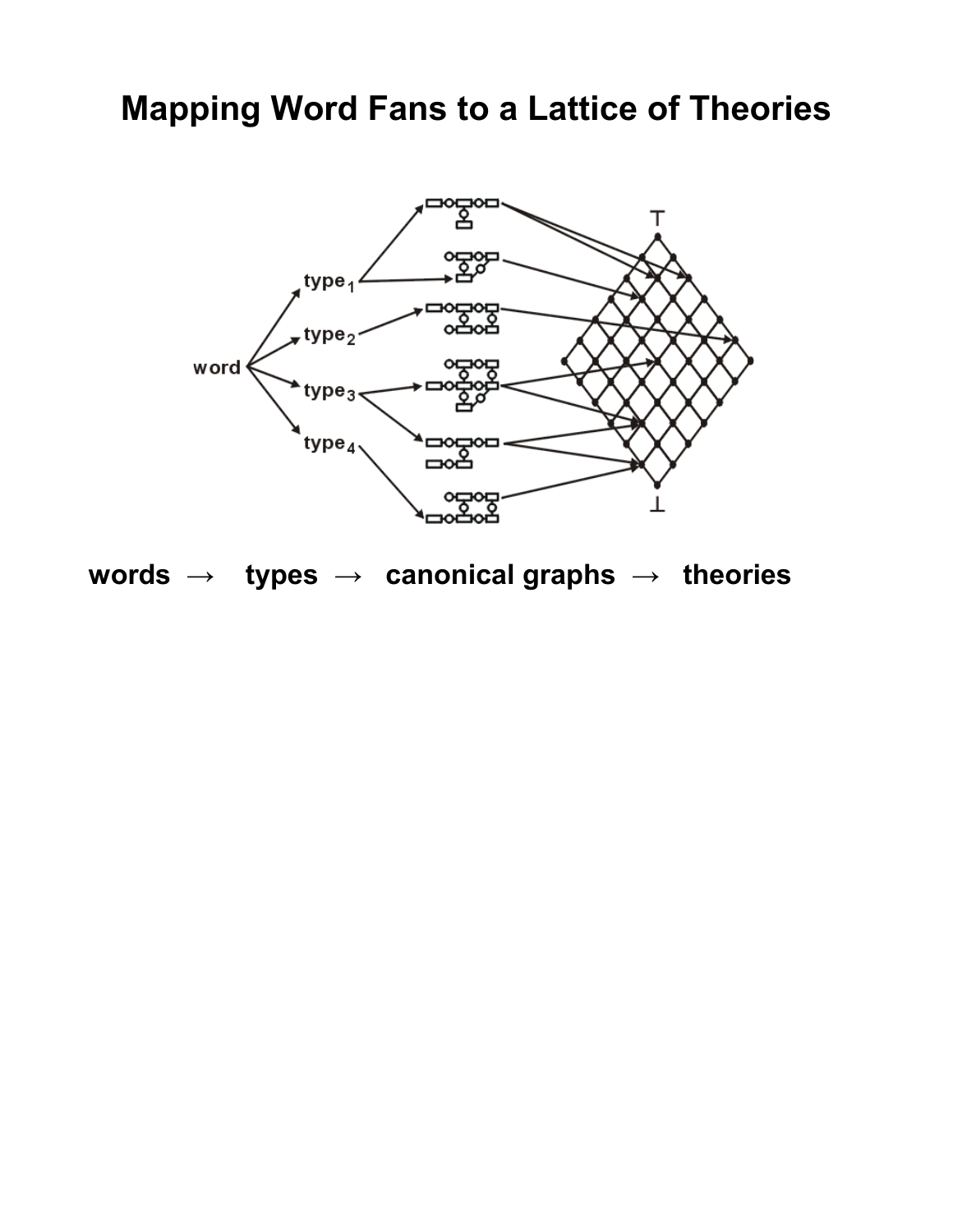#### **Mapping Word Fans to a Lattice of Theories**



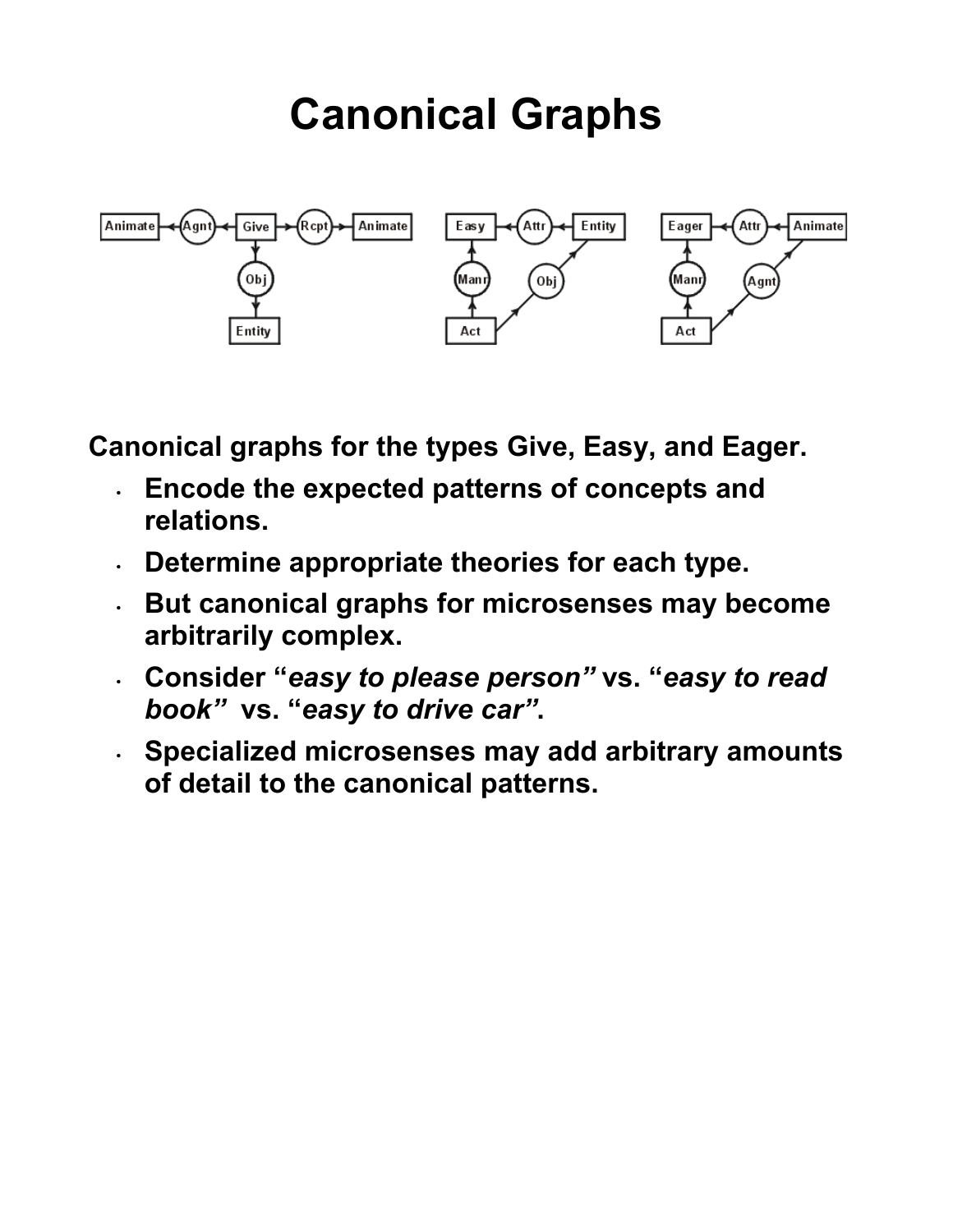## **Canonical Graphs**



**Canonical graphs for the types Give, Easy, and Eager.** 

- **Encode the expected patterns of concepts and relations.**
- **Determine appropriate theories for each type.**
- **But canonical graphs for microsenses may become arbitrarily complex.**
- **Consider "***easy to please person"* **vs. "***easy to read book"* **vs. "***easy to drive car"***.**
- **Specialized microsenses may add arbitrary amounts of detail to the canonical patterns.**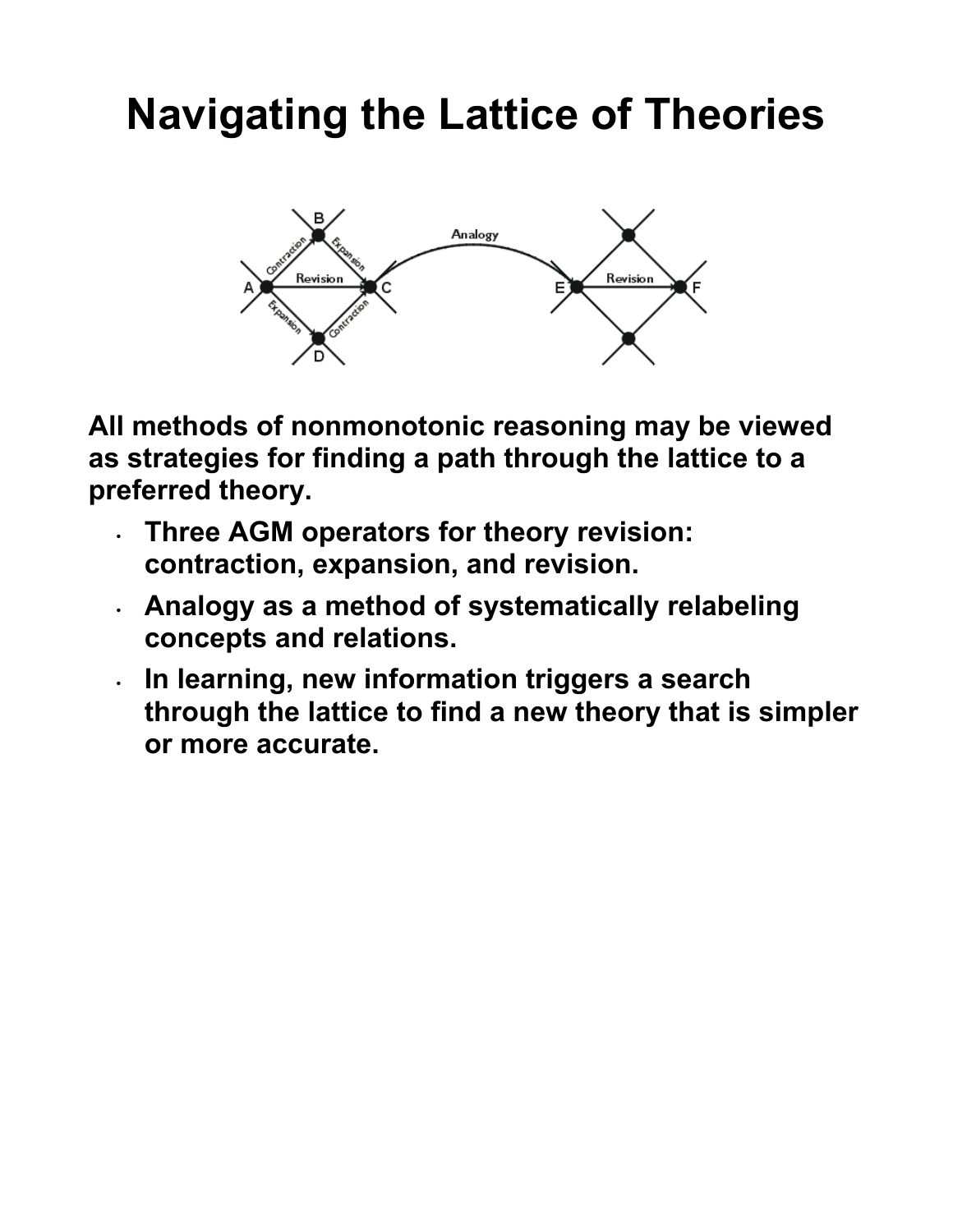### **Navigating the Lattice of Theories**



**All methods of nonmonotonic reasoning may be viewed as strategies for finding a path through the lattice to a preferred theory.** 

- **Three AGM operators for theory revision: contraction, expansion, and revision.**
- **Analogy as a method of systematically relabeling concepts and relations.**
- **In learning, new information triggers a search through the lattice to find a new theory that is simpler or more accurate.**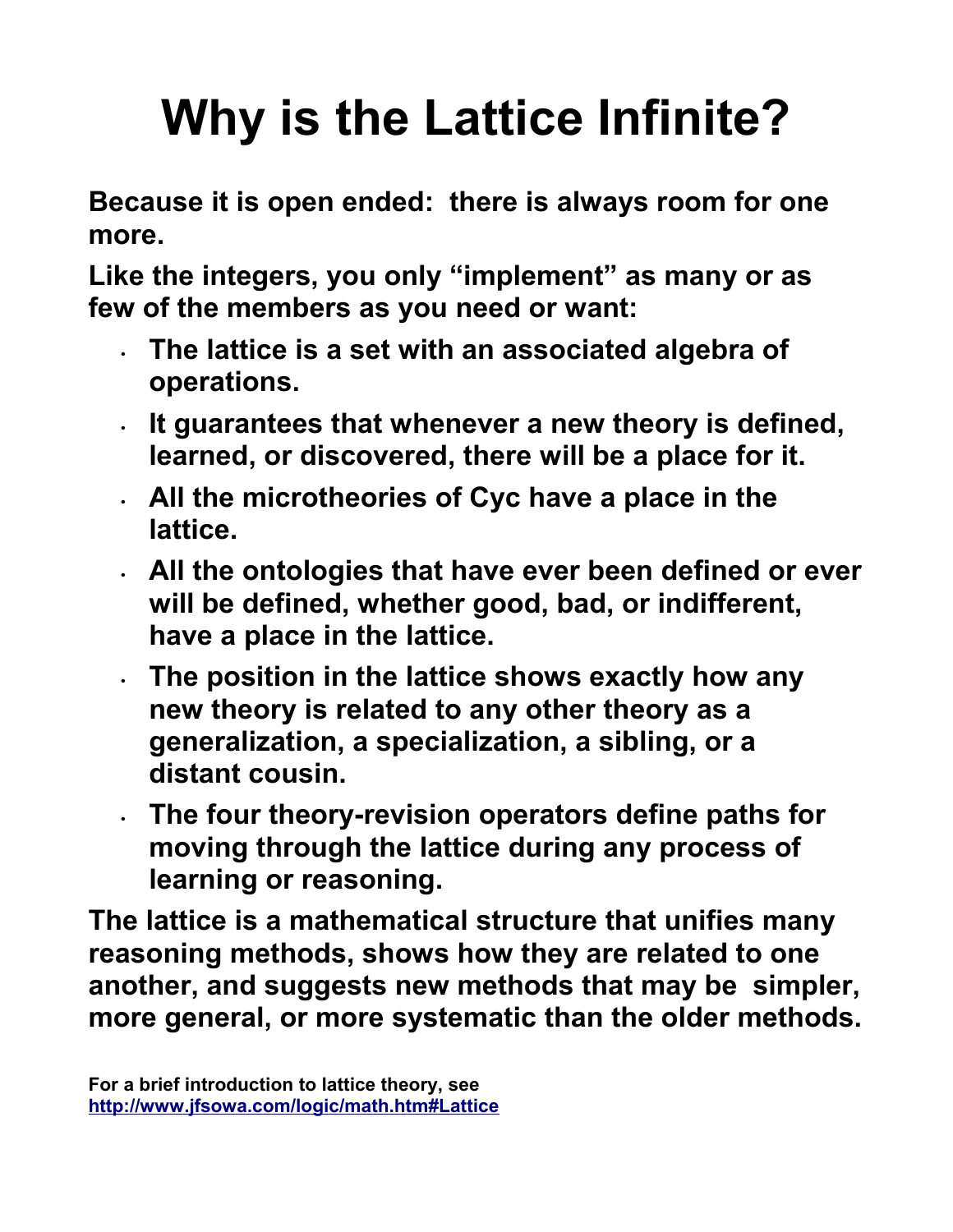# **Why is the Lattice Infinite?**

**Because it is open ended: there is always room for one more.**

**Like the integers, you only "implement" as many or as few of the members as you need or want:**

- **The lattice is a set with an associated algebra of operations.**
- **It guarantees that whenever a new theory is defined, learned, or discovered, there will be a place for it.**
- **All the microtheories of Cyc have a place in the lattice.**
- **All the ontologies that have ever been defined or ever will be defined, whether good, bad, or indifferent, have a place in the lattice.**
- **The position in the lattice shows exactly how any new theory is related to any other theory as a generalization, a specialization, a sibling, or a distant cousin.**
- **The four theory-revision operators define paths for moving through the lattice during any process of learning or reasoning.**

**The lattice is a mathematical structure that unifies many reasoning methods, shows how they are related to one another, and suggests new methods that may be simpler, more general, or more systematic than the older methods.**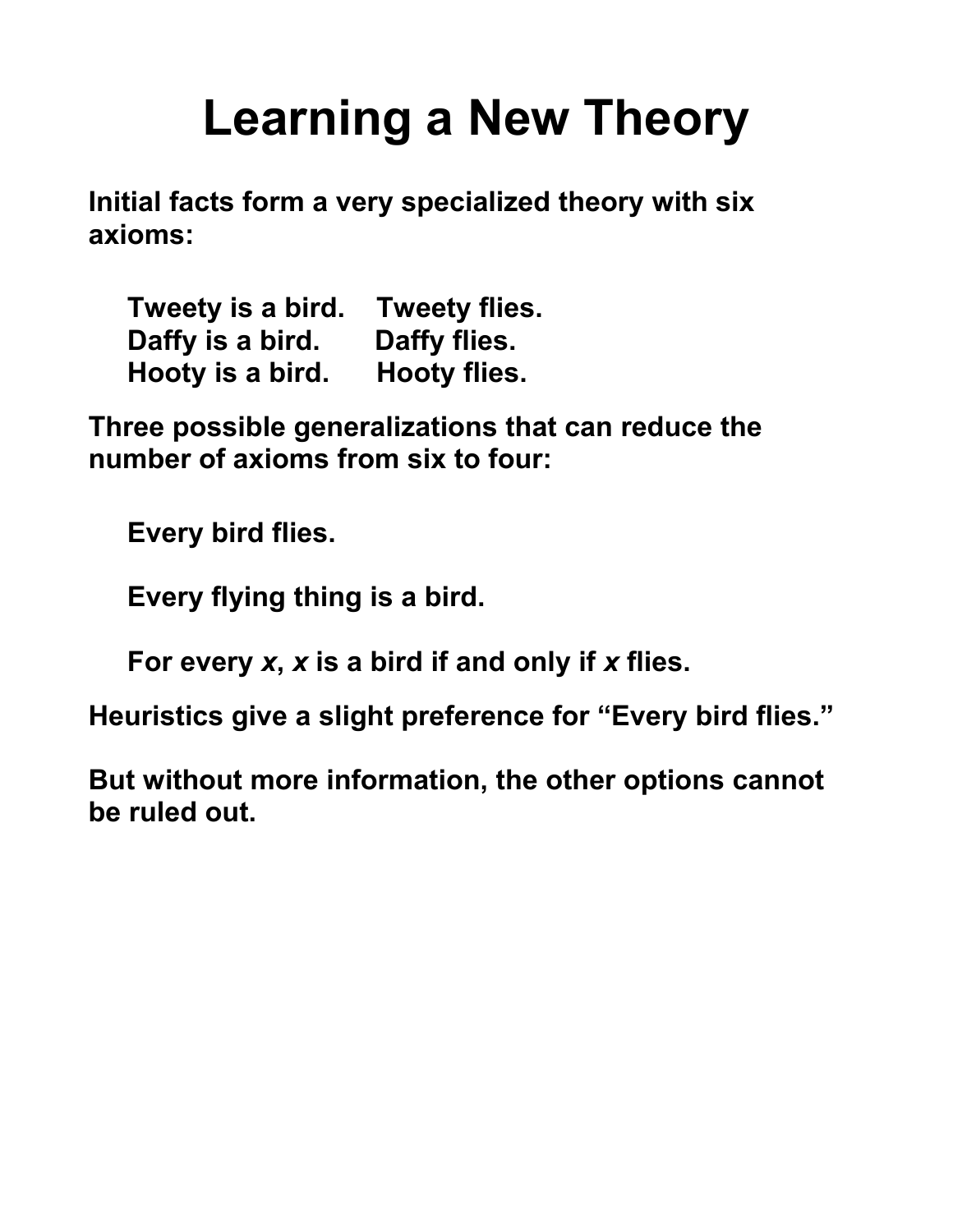## **Learning a New Theory**

**Initial facts form a very specialized theory with six axioms:** 

| Tweety is a bird. | <b>Tweety flies.</b> |
|-------------------|----------------------|
| Daffy is a bird.  | Daffy flies.         |
| Hooty is a bird.  | <b>Hooty flies.</b>  |

**Three possible generalizations that can reduce the number of axioms from six to four:**

 **Every bird flies.**

 **Every flying thing is a bird.**

 **For every** *x***,** *x* **is a bird if and only if** *x* **flies.**

**Heuristics give a slight preference for "Every bird flies."** 

**But without more information, the other options cannot be ruled out.**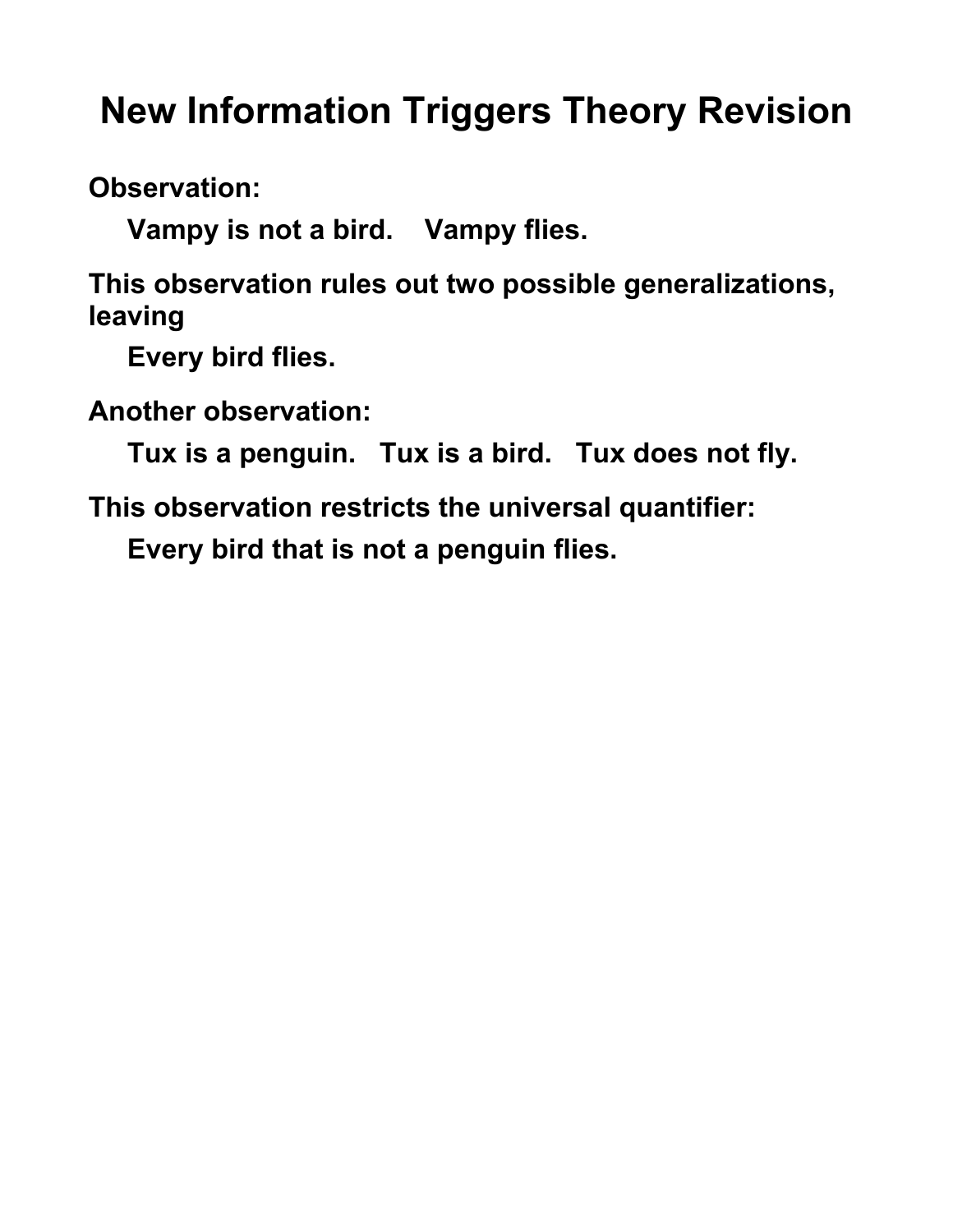### **New Information Triggers Theory Revision**

**Observation:** 

 **Vampy is not a bird. Vampy flies.**

**This observation rules out two possible generalizations, leaving** 

 **Every bird flies.**

**Another observation:** 

 **Tux is a penguin. Tux is a bird. Tux does not fly.**

**This observation restricts the universal quantifier:** 

 **Every bird that is not a penguin flies.**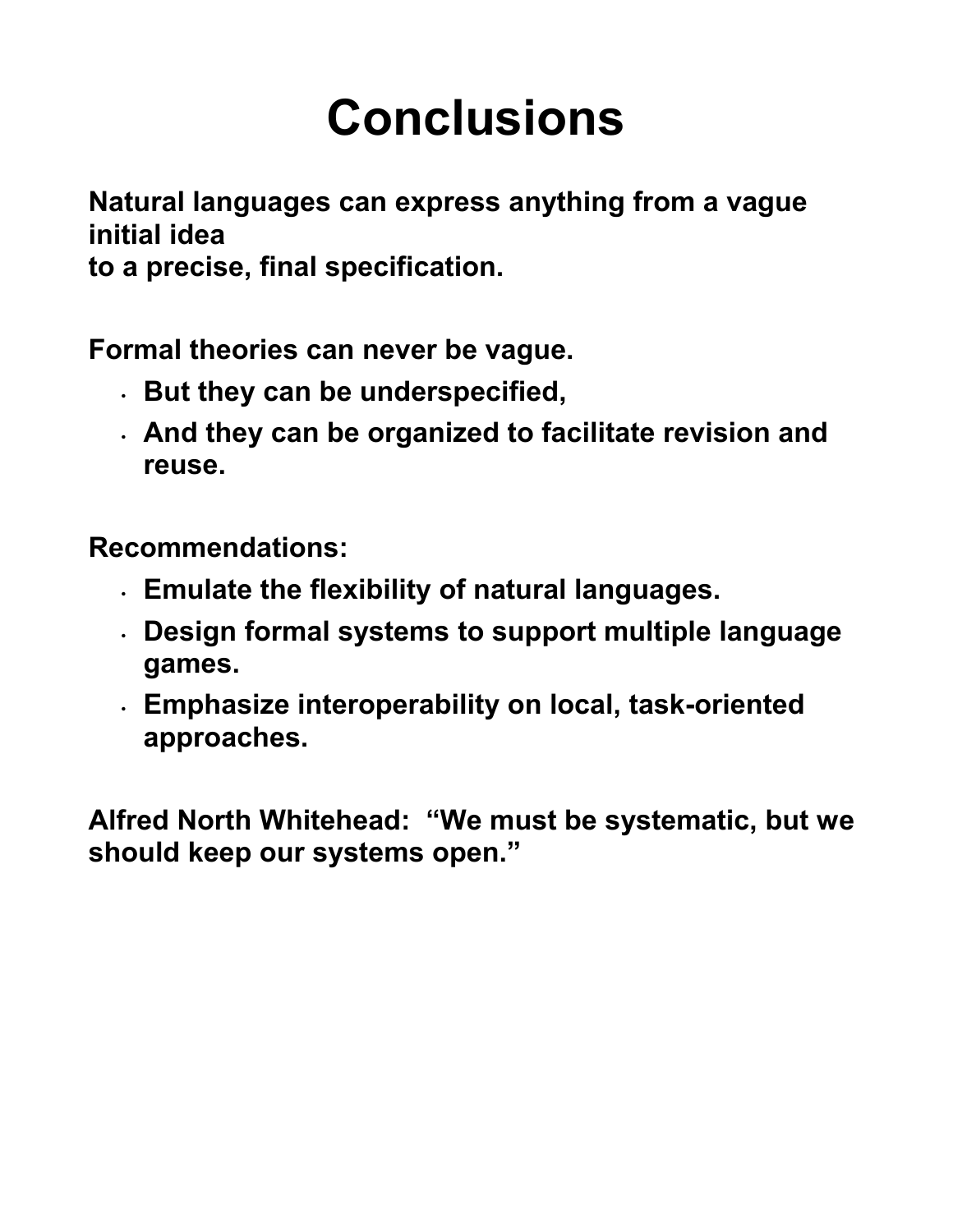## **Conclusions**

**Natural languages can express anything from a vague initial idea** 

**to a precise, final specification.** 

**Formal theories can never be vague.** 

- **But they can be underspecified,**
- **And they can be organized to facilitate revision and reuse.**

**Recommendations:** 

- **Emulate the flexibility of natural languages.**
- **Design formal systems to support multiple language games.**
- **Emphasize interoperability on local, task-oriented approaches.**

**Alfred North Whitehead: "We must be systematic, but we should keep our systems open."**